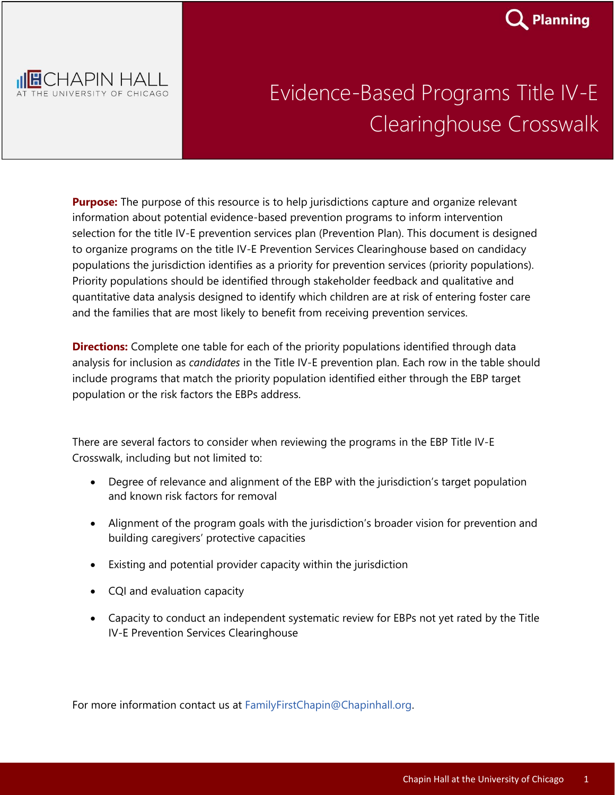



## Evidence-Based Programs Title IV-E Clearinghouse Crosswalk

**Purpose:** The purpose of this resource is to help jurisdictions capture and organize relevant information about potential evidence-based prevention programs to inform intervention selection for the title IV-E prevention services plan (Prevention Plan). This document is designed to organize programs on the title IV-E Prevention Services Clearinghouse based on candidacy populations the jurisdiction identifies as a priority for prevention services (priority populations). Priority populations should be identified through stakeholder feedback and qualitative and quantitative data analysis designed to identify which children are at risk of entering foster care and the families that are most likely to benefit from receiving prevention services.

**Directions:** Complete one table for each of the priority populations identified through data analysis for inclusion as *candidates* in the Title IV-E prevention plan. Each row in the table should include programs that match the priority population identified either through the EBP target population or the risk factors the EBPs address.

There are several factors to consider when reviewing the programs in the EBP Title IV-E Crosswalk, including but not limited to:

- Degree of relevance and alignment of the EBP with the jurisdiction's target population and known risk factors for removal
- Alignment of the program goals with the jurisdiction's broader vision for prevention and building caregivers' protective capacities
- Existing and potential provider capacity within the jurisdiction
- CQI and evaluation capacity
- Capacity to conduct an independent systematic review for EBPs not yet rated by the Title IV-E Prevention Services Clearinghouse

For more information contact us at FamilyFirstChapin@Chapinhall.org.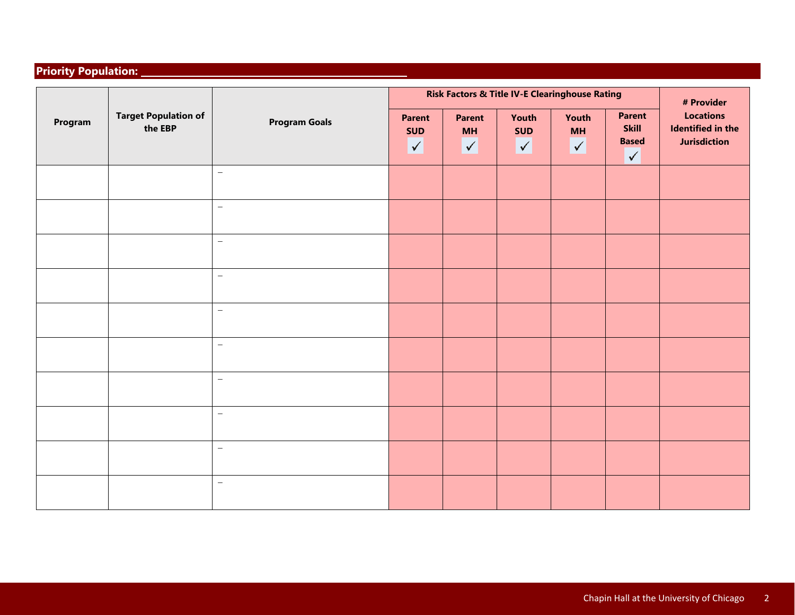## **Priority Population:**

| Program | <b>Target Population of</b><br>the EBP | <b>Program Goals</b>     | <b>Risk Factors &amp; Title IV-E Clearinghouse Rating</b> |                                            |                                  |                                  |                                                               | # Provider                                                          |
|---------|----------------------------------------|--------------------------|-----------------------------------------------------------|--------------------------------------------|----------------------------------|----------------------------------|---------------------------------------------------------------|---------------------------------------------------------------------|
|         |                                        |                          | <b>Parent</b><br><b>SUD</b><br>$\sqrt{}$                  | <b>Parent</b><br><b>MH</b><br>$\checkmark$ | Youth<br><b>SUD</b><br>$\sqrt{}$ | Youth<br><b>MH</b><br>$\sqrt{ }$ | <b>Parent</b><br><b>Skill</b><br><b>Based</b><br>$\checkmark$ | <b>Locations</b><br><b>Identified in the</b><br><b>Jurisdiction</b> |
|         |                                        | $\overline{\phantom{m}}$ |                                                           |                                            |                                  |                                  |                                                               |                                                                     |
|         |                                        | $\overline{\phantom{0}}$ |                                                           |                                            |                                  |                                  |                                                               |                                                                     |
|         |                                        | $\overline{\phantom{m}}$ |                                                           |                                            |                                  |                                  |                                                               |                                                                     |
|         |                                        | $\overline{\phantom{0}}$ |                                                           |                                            |                                  |                                  |                                                               |                                                                     |
|         |                                        | $\equiv$                 |                                                           |                                            |                                  |                                  |                                                               |                                                                     |
|         |                                        | $\equiv$                 |                                                           |                                            |                                  |                                  |                                                               |                                                                     |
|         |                                        | $\overline{\phantom{0}}$ |                                                           |                                            |                                  |                                  |                                                               |                                                                     |
|         |                                        | $\overline{\phantom{0}}$ |                                                           |                                            |                                  |                                  |                                                               |                                                                     |
|         |                                        | $\equiv$                 |                                                           |                                            |                                  |                                  |                                                               |                                                                     |
|         |                                        | $\overline{\phantom{m}}$ |                                                           |                                            |                                  |                                  |                                                               |                                                                     |